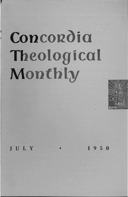## Concordia Theological Monthly



## JULY

 $1950$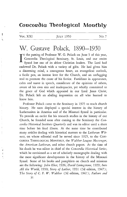## Concordia Theological Monthly

VOL. XXI JULY 1950 No. 7

## W. Gustave Polack, 1890-1950

IN the passing of Professor W. G. Polack on June 5 of this year, Concordia Theological Seminary, St. Louis, and our entire Synod lost one of its ablest Christian leaders. The Lord had endowed Dr. Polack with a variety of gifts. He had given him a discerning mind, a courageous heart, an evangelical outlook, a facile pen, an intense love for the Church, and an unflagging zeal to promote the cause of his Savior. Fastidious in appearance, calm and suave in speech, considerate of the opinions of others, aware of his own sins and inadequacies, yet wholly committed to the grace of God which appeared in our Lord Jesus Christ, Dr. Polack left an abiding impression on all who learned to know him.

Professor Polack came to the Seminary in 1925 to teach church history. He soon displayed a special interest in the history of Lutheranism in America and of the Missouri Synod in particular. To provide an outlet for his research studies in the history of our Church, he founded soon after coming to the Seminary the *Concordia Historical Imtitute Quarterly* and was its editor until a short time before his final illness. At the same time he contributed many articles dealing with historical matters to the *Lutheran Witness,* on whose editorial staff he served since 1925, to the CON-CORDIA THEOLOGICAL MONTHLY, the *Walther League Messenger,*  the *American Lutheran,* and other church papers. At the time of his death he was editor in chief of the *Concordia Historical Series,*  which he envisioned as a set of scholarly monographs dealing with the most significant developments in the history of the Missouri Synod. Some of his books and pamphlets on church and missions are the following: *John Eliot,* 1926; *David Livingstone,* 1929; *Into All the World, 1930; Story of Luther, 1931 (3d edition, 1947); The Story of C. F. W. Walther* (3d edition, 1947); *Fathers and* 

31